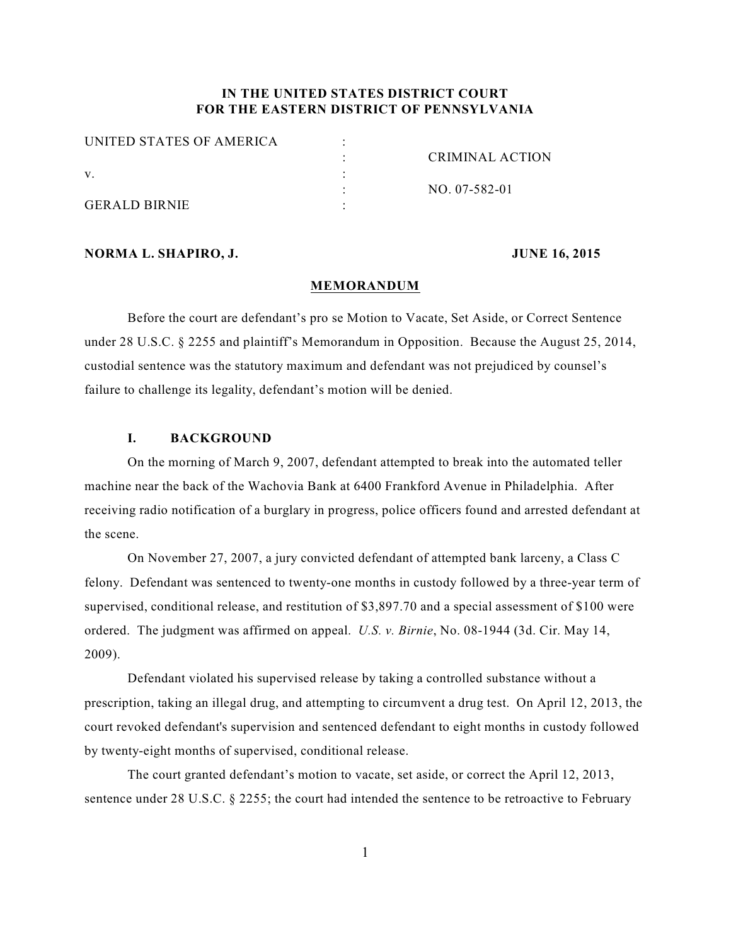## **IN THE UNITED STATES DISTRICT COURT FOR THE EASTERN DISTRICT OF PENNSYLVANIA**

| <b>UNITED STATES OF AMERICA</b> |                 |
|---------------------------------|-----------------|
|                                 | CRIMINAL ACTION |
|                                 |                 |
|                                 | NO. 07-582-01   |
| <b>GERALD BIRNIE</b>            |                 |

### **NORMA L. SHAPIRO, J. JUNE 16, 2015**

#### **MEMORANDUM**

Before the court are defendant's pro se Motion to Vacate, Set Aside, or Correct Sentence under 28 U.S.C. § 2255 and plaintiff's Memorandum in Opposition. Because the August 25, 2014, custodial sentence was the statutory maximum and defendant was not prejudiced by counsel's failure to challenge its legality, defendant's motion will be denied.

### **I. BACKGROUND**

On the morning of March 9, 2007, defendant attempted to break into the automated teller machine near the back of the Wachovia Bank at 6400 Frankford Avenue in Philadelphia. After receiving radio notification of a burglary in progress, police officers found and arrested defendant at the scene.

On November 27, 2007, a jury convicted defendant of attempted bank larceny, a Class C felony. Defendant was sentenced to twenty-one months in custody followed by a three-year term of supervised, conditional release, and restitution of \$3,897.70 and a special assessment of \$100 were ordered. The judgment was affirmed on appeal. *U.S. v. Birnie*, No. 08-1944 (3d. Cir. May 14, 2009).

Defendant violated his supervised release by taking a controlled substance without a prescription, taking an illegal drug, and attempting to circumvent a drug test. On April 12, 2013, the court revoked defendant's supervision and sentenced defendant to eight months in custody followed by twenty-eight months of supervised, conditional release.

The court granted defendant's motion to vacate, set aside, or correct the April 12, 2013, sentence under 28 U.S.C. § 2255; the court had intended the sentence to be retroactive to February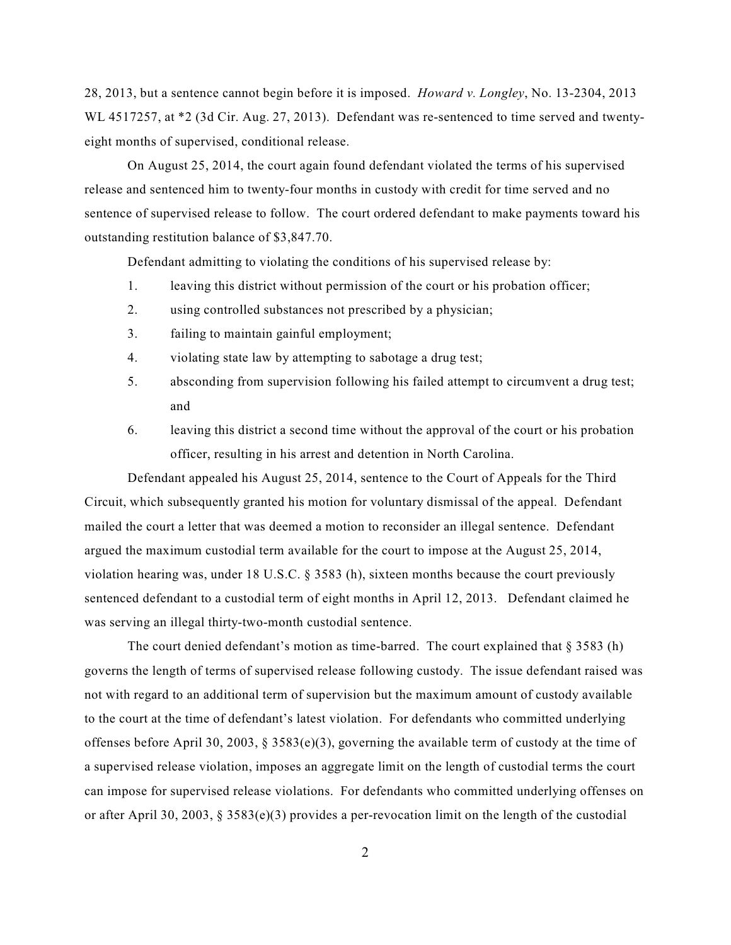28, 2013, but a sentence cannot begin before it is imposed. *Howard v. Longley*, No. 13-2304, 2013 WL 4517257, at \*2 (3d Cir. Aug. 27, 2013). Defendant was re-sentenced to time served and twentyeight months of supervised, conditional release.

On August 25, 2014, the court again found defendant violated the terms of his supervised release and sentenced him to twenty-four months in custody with credit for time served and no sentence of supervised release to follow. The court ordered defendant to make payments toward his outstanding restitution balance of \$3,847.70.

Defendant admitting to violating the conditions of his supervised release by:

- 1. leaving this district without permission of the court or his probation officer;
- 2. using controlled substances not prescribed by a physician;
- 3. failing to maintain gainful employment;
- 4. violating state law by attempting to sabotage a drug test;
- 5. absconding from supervision following his failed attempt to circumvent a drug test; and
- 6. leaving this district a second time without the approval of the court or his probation officer, resulting in his arrest and detention in North Carolina.

Defendant appealed his August 25, 2014, sentence to the Court of Appeals for the Third Circuit, which subsequently granted his motion for voluntary dismissal of the appeal. Defendant mailed the court a letter that was deemed a motion to reconsider an illegal sentence. Defendant argued the maximum custodial term available for the court to impose at the August 25, 2014, violation hearing was, under 18 U.S.C. § 3583 (h), sixteen months because the court previously sentenced defendant to a custodial term of eight months in April 12, 2013. Defendant claimed he was serving an illegal thirty-two-month custodial sentence.

The court denied defendant's motion as time-barred. The court explained that  $\S 3583$  (h) governs the length of terms of supervised release following custody. The issue defendant raised was not with regard to an additional term of supervision but the maximum amount of custody available to the court at the time of defendant's latest violation. For defendants who committed underlying offenses before April 30, 2003, § 3583(e)(3), governing the available term of custody at the time of a supervised release violation, imposes an aggregate limit on the length of custodial terms the court can impose for supervised release violations. For defendants who committed underlying offenses on or after April 30, 2003, § 3583(e)(3) provides a per-revocation limit on the length of the custodial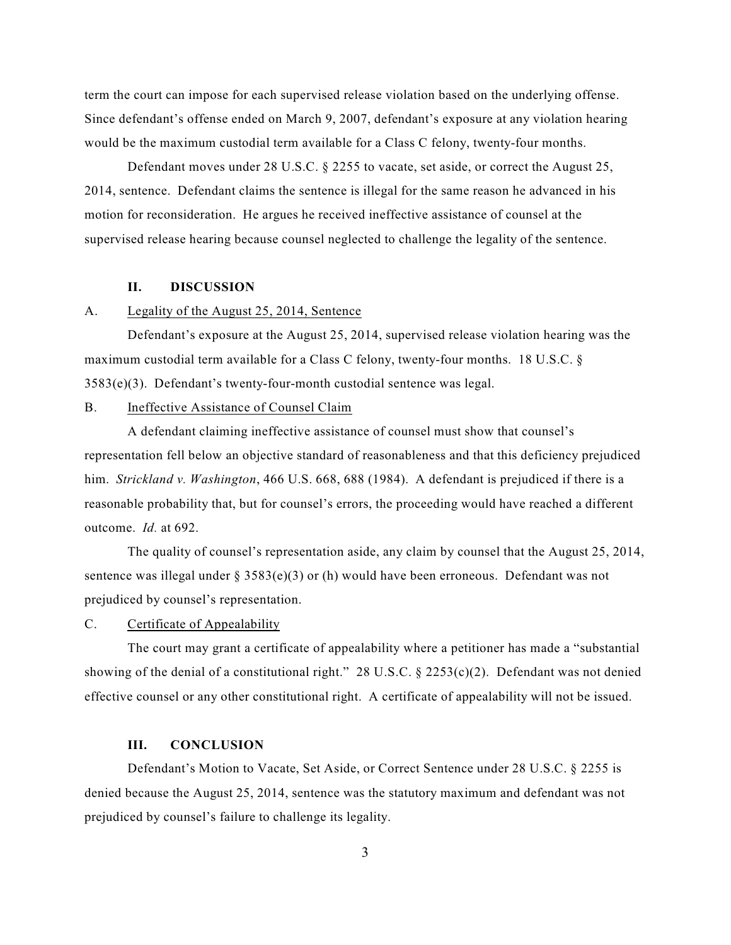term the court can impose for each supervised release violation based on the underlying offense. Since defendant's offense ended on March 9, 2007, defendant's exposure at any violation hearing would be the maximum custodial term available for a Class C felony, twenty-four months.

Defendant moves under 28 U.S.C. § 2255 to vacate, set aside, or correct the August 25, 2014, sentence. Defendant claims the sentence is illegal for the same reason he advanced in his motion for reconsideration. He argues he received ineffective assistance of counsel at the supervised release hearing because counsel neglected to challenge the legality of the sentence.

#### **II. DISCUSSION**

### A. Legality of the August 25, 2014, Sentence

Defendant's exposure at the August 25, 2014, supervised release violation hearing was the maximum custodial term available for a Class C felony, twenty-four months. 18 U.S.C. § 3583(e)(3). Defendant's twenty-four-month custodial sentence was legal.

### B. Ineffective Assistance of Counsel Claim

A defendant claiming ineffective assistance of counsel must show that counsel's representation fell below an objective standard of reasonableness and that this deficiency prejudiced him. *Strickland v. Washington*, 466 U.S. 668, 688 (1984). A defendant is prejudiced if there is a reasonable probability that, but for counsel's errors, the proceeding would have reached a different outcome. *Id.* at 692.

The quality of counsel's representation aside, any claim by counsel that the August 25, 2014, sentence was illegal under §  $3583(e)(3)$  or (h) would have been erroneous. Defendant was not prejudiced by counsel's representation.

### C. Certificate of Appealability

The court may grant a certificate of appealability where a petitioner has made a "substantial showing of the denial of a constitutional right." 28 U.S.C.  $\S$  2253(c)(2). Defendant was not denied effective counsel or any other constitutional right. A certificate of appealability will not be issued.

### **III. CONCLUSION**

Defendant's Motion to Vacate, Set Aside, or Correct Sentence under 28 U.S.C. § 2255 is denied because the August 25, 2014, sentence was the statutory maximum and defendant was not prejudiced by counsel's failure to challenge its legality.